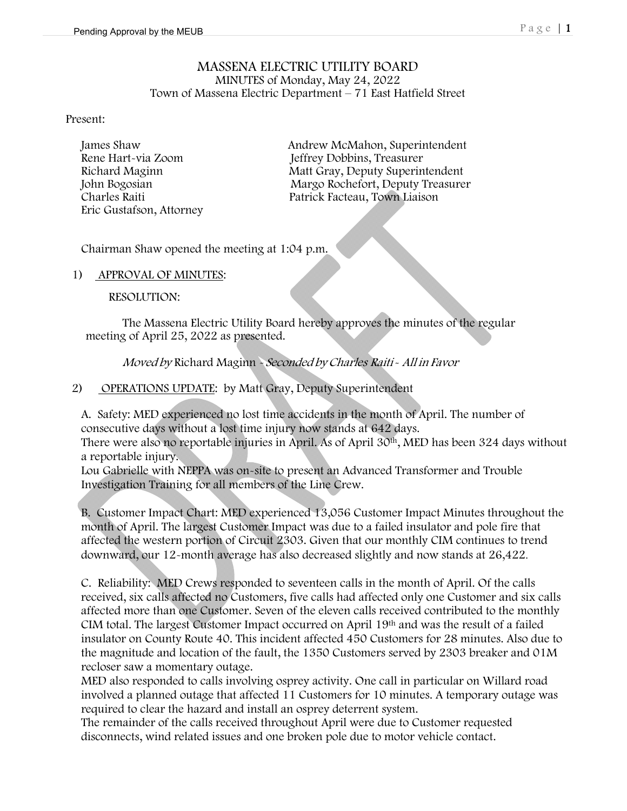### MASSENA ELECTRIC UTILITY BOARD MINUTES of Monday, May 24, 2022 Town of Massena Electric Department – 71 East Hatfield Street

#### Present:

Eric Gustafson, Attorney

James Shaw Andrew McMahon, Superintendent<br>
Rene Hart-via Zoom Jeffrey Dobbins, Treasurer Rene Hart-via Zoom Jeffrey Dobbins, Treasurer Matt Gray, Deputy Superintendent John Bogosian Margo Rochefort, Deputy Treasurer<br>Charles Raiti Patrick Facteau. Town Liaison Patrick Facteau, Town Liaison

Chairman Shaw opened the meeting at 1:04 p.m.

1) APPROVAL OF MINUTES:

RESOLUTION:

The Massena Electric Utility Board hereby approves the minutes of the regular meeting of April 25, 2022 as presented.

Moved by Richard Maginn - Seconded by Charles Raiti - All in Favor

2) OPERATIONS UPDATE: by Matt Gray, Deputy Superintendent

A. Safety: MED experienced no lost time accidents in the month of April. The number of consecutive days without a lost time injury now stands at 642 days.

There were also no reportable injuries in April. As of April 30th, MED has been 324 days without a reportable injury.

Lou Gabrielle with NEPPA was on-site to present an Advanced Transformer and Trouble Investigation Training for all members of the Line Crew.

B. Customer Impact Chart: MED experienced 13,056 Customer Impact Minutes throughout the month of April. The largest Customer Impact was due to a failed insulator and pole fire that affected the western portion of Circuit 2303. Given that our monthly CIM continues to trend downward, our 12-month average has also decreased slightly and now stands at 26,422.

C. Reliability: MED Crews responded to seventeen calls in the month of April. Of the calls received, six calls affected no Customers, five calls had affected only one Customer and six calls affected more than one Customer. Seven of the eleven calls received contributed to the monthly CIM total. The largest Customer Impact occurred on April 19th and was the result of a failed insulator on County Route 40. This incident affected 450 Customers for 28 minutes. Also due to the magnitude and location of the fault, the 1350 Customers served by 2303 breaker and 01M recloser saw a momentary outage.

MED also responded to calls involving osprey activity. One call in particular on Willard road involved a planned outage that affected 11 Customers for 10 minutes. A temporary outage was required to clear the hazard and install an osprey deterrent system.

The remainder of the calls received throughout April were due to Customer requested disconnects, wind related issues and one broken pole due to motor vehicle contact.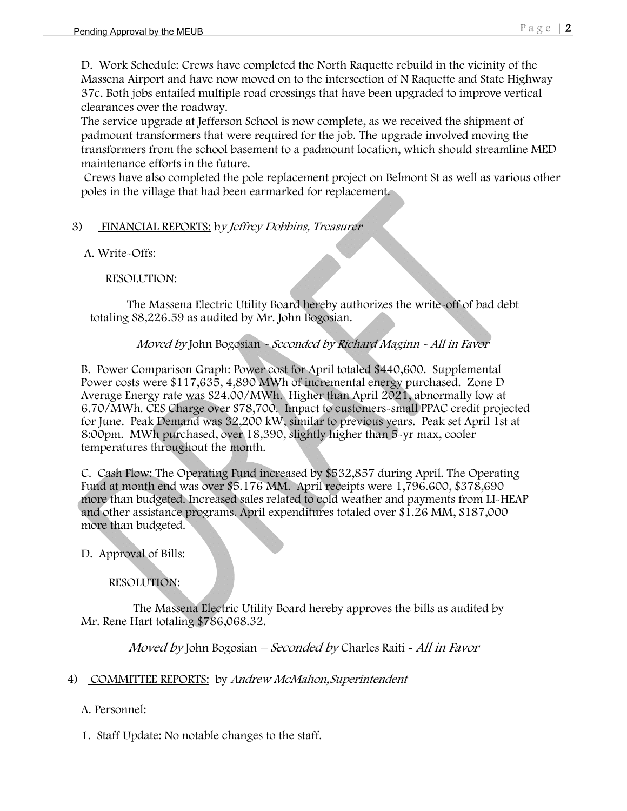D. Work Schedule: Crews have completed the North Raquette rebuild in the vicinity of the Massena Airport and have now moved on to the intersection of N Raquette and State Highway 37c. Both jobs entailed multiple road crossings that have been upgraded to improve vertical clearances over the roadway.

The service upgrade at Jefferson School is now complete, as we received the shipment of padmount transformers that were required for the job. The upgrade involved moving the transformers from the school basement to a padmount location, which should streamline MED maintenance efforts in the future.

 Crews have also completed the pole replacement project on Belmont St as well as various other poles in the village that had been earmarked for replacement.

# 3) FINANCIAL REPORTS: by Jeffrey Dobbins, Treasurer

A. Write-Offs:

RESOLUTION:

The Massena Electric Utility Board hereby authorizes the write-off of bad debt totaling \$8,226.59 as audited by Mr. John Bogosian.

# Moved by John Bogosian - Seconded by Richard Maginn - All in Favor

B. Power Comparison Graph: Power cost for April totaled \$440,600. Supplemental Power costs were \$117,635, 4,890 MWh of incremental energy purchased. Zone D Average Energy rate was \$24.00/MWh. Higher than April 2021, abnormally low at 6.70/MWh. CES Charge over \$78,700. Impact to customers-small PPAC credit projected for June. Peak Demand was 32,200 kW, similar to previous years. Peak set April 1st at 8:00pm. MWh purchased, over 18,390, slightly higher than 5-yr max, cooler temperatures throughout the month.

C. Cash Flow: The Operating Fund increased by \$532,857 during April. The Operating Fund at month end was over \$5.176 MM. April receipts were 1,796.600, \$378,690 more than budgeted. Increased sales related to cold weather and payments from LI-HEAP and other assistance programs. April expenditures totaled over \$1.26 MM, \$187,000 more than budgeted.

D. Approval of Bills:

### RESOLUTION:

 The Massena Electric Utility Board hereby approves the bills as audited by Mr. Rene Hart totaling \$786,068.32.

Moved by John Bogosian – Seconded by Charles Raiti *-* All in Favor

### 4) COMMITTEE REPORTS: by Andrew McMahon, Superintendent

A. Personnel:

1. Staff Update: No notable changes to the staff.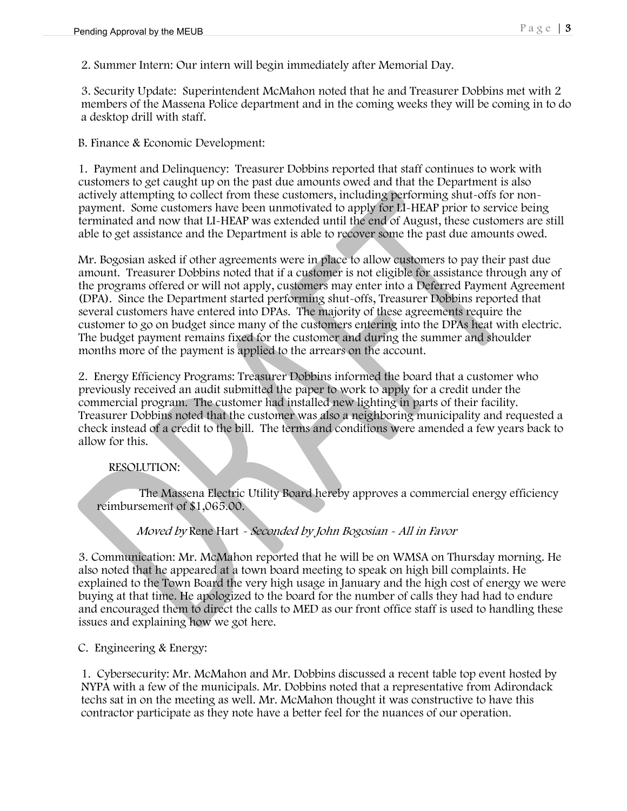2. Summer Intern: Our intern will begin immediately after Memorial Day.

3. Security Update: Superintendent McMahon noted that he and Treasurer Dobbins met with 2 members of the Massena Police department and in the coming weeks they will be coming in to do a desktop drill with staff.

B. Finance & Economic Development:

 1. Payment and Delinquency: Treasurer Dobbins reported that staff continues to work with customers to get caught up on the past due amounts owed and that the Department is also actively attempting to collect from these customers, including performing shut-offs for nonpayment. Some customers have been unmotivated to apply for LI-HEAP prior to service being terminated and now that LI-HEAP was extended until the end of August, these customers are still able to get assistance and the Department is able to recover some the past due amounts owed.

 Mr. Bogosian asked if other agreements were in place to allow customers to pay their past due amount. Treasurer Dobbins noted that if a customer is not eligible for assistance through any of the programs offered or will not apply, customers may enter into a Deferred Payment Agreement (DPA). Since the Department started performing shut-offs, Treasurer Dobbins reported that several customers have entered into DPAs. The majority of these agreements require the customer to go on budget since many of the customers entering into the DPAs heat with electric. The budget payment remains fixed for the customer and during the summer and shoulder months more of the payment is applied to the arrears on the account.

 2. Energy Efficiency Programs: Treasurer Dobbins informed the board that a customer who previously received an audit submitted the paper to work to apply for a credit under the commercial program. The customer had installed new lighting in parts of their facility. Treasurer Dobbins noted that the customer was also a neighboring municipality and requested a check instead of a credit to the bill. The terms and conditions were amended a few years back to allow for this.

### RESOLUTION:

 The Massena Electric Utility Board hereby approves a commercial energy efficiency reimbursement of \$1,065.00.

# Moved by Rene Hart - Seconded by John Bogosian - All in Favor

3. Communication: Mr. McMahon reported that he will be on WMSA on Thursday morning. He also noted that he appeared at a town board meeting to speak on high bill complaints. He explained to the Town Board the very high usage in January and the high cost of energy we were buying at that time. He apologized to the board for the number of calls they had had to endure and encouraged them to direct the calls to MED as our front office staff is used to handling these issues and explaining how we got here.

C. Engineering & Energy:

1. Cybersecurity: Mr. McMahon and Mr. Dobbins discussed a recent table top event hosted by NYPA with a few of the municipals. Mr. Dobbins noted that a representative from Adirondack techs sat in on the meeting as well. Mr. McMahon thought it was constructive to have this contractor participate as they note have a better feel for the nuances of our operation.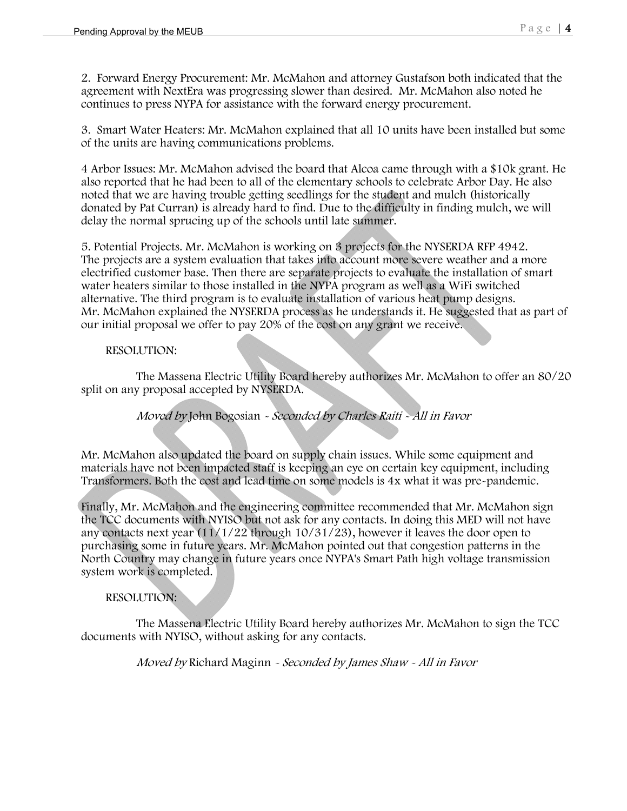2. Forward Energy Procurement: Mr. McMahon and attorney Gustafson both indicated that the agreement with NextEra was progressing slower than desired. Mr. McMahon also noted he continues to press NYPA for assistance with the forward energy procurement.

3. Smart Water Heaters: Mr. McMahon explained that all 10 units have been installed but some of the units are having communications problems.

4 Arbor Issues: Mr. McMahon advised the board that Alcoa came through with a \$10k grant. He also reported that he had been to all of the elementary schools to celebrate Arbor Day. He also noted that we are having trouble getting seedlings for the student and mulch (historically donated by Pat Curran) is already hard to find. Due to the difficulty in finding mulch, we will delay the normal sprucing up of the schools until late summer.

5. Potential Projects. Mr. McMahon is working on 3 projects for the NYSERDA RFP 4942. The projects are a system evaluation that takes into account more severe weather and a more electrified customer base. Then there are separate projects to evaluate the installation of smart water heaters similar to those installed in the NYPA program as well as a WiFi switched alternative. The third program is to evaluate installation of various heat pump designs. Mr. McMahon explained the NYSERDA process as he understands it. He suggested that as part of our initial proposal we offer to pay 20% of the cost on any grant we receive.

### RESOLUTION:

 The Massena Electric Utility Board hereby authorizes Mr. McMahon to offer an 80/20 split on any proposal accepted by NYSERDA.

Moved by John Bogosian - Seconded by Charles Raiti - All in Favor

Mr. McMahon also updated the board on supply chain issues. While some equipment and materials have not been impacted staff is keeping an eye on certain key equipment, including Transformers. Both the cost and lead time on some models is 4x what it was pre-pandemic.

Finally, Mr. McMahon and the engineering committee recommended that Mr. McMahon sign the TCC documents with NYISO but not ask for any contacts. In doing this MED will not have any contacts next year  $(11/1/22)$  through  $10/31/23$ , however it leaves the door open to purchasing some in future years. Mr. McMahon pointed out that congestion patterns in the North Country may change in future years once NYPA's Smart Path high voltage transmission system work is completed.

### RESOLUTION:

 The Massena Electric Utility Board hereby authorizes Mr. McMahon to sign the TCC documents with NYISO, without asking for any contacts.

Moved by Richard Maginn - Seconded by James Shaw - All in Favor